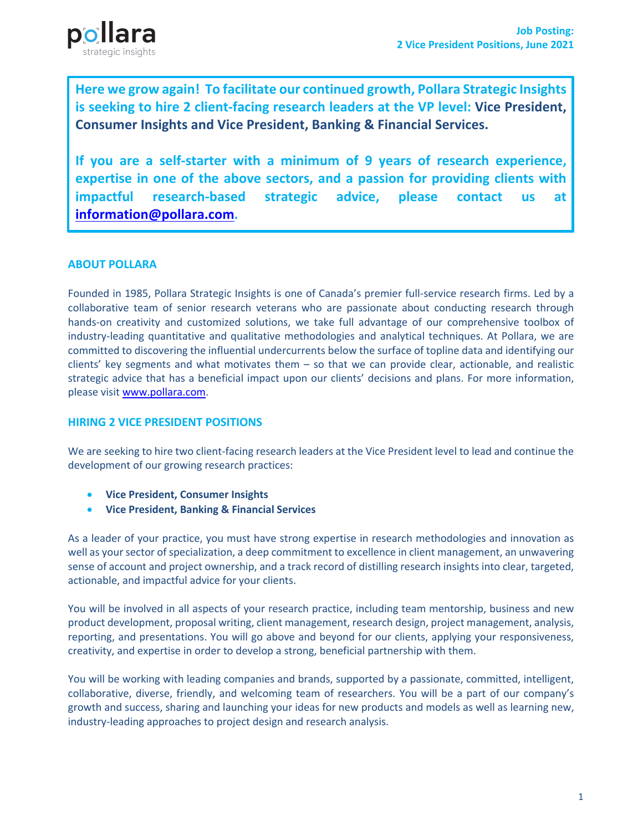

**Here we grow again! To facilitate our continued growth, Pollara Strategic Insights is seeking to hire 2 client-facing research leaders at the VP level: Vice President, Consumer Insights and Vice President, Banking & Financial Services.** 

**If you are a self-starter with a minimum of 9 years of research experience, expertise in one of the above sectors, and a passion for providing clients with impactful research-based strategic advice, please contact us at information@pollara.com.** 

# **ABOUT POLLARA**

Founded in 1985, Pollara Strategic Insights is one of Canada's premier full-service research firms. Led by a collaborative team of senior research veterans who are passionate about conducting research through hands-on creativity and customized solutions, we take full advantage of our comprehensive toolbox of industry-leading quantitative and qualitative methodologies and analytical techniques. At Pollara, we are committed to discovering the influential undercurrents below the surface of topline data and identifying our clients' key segments and what motivates them – so that we can provide clear, actionable, and realistic strategic advice that has a beneficial impact upon our clients' decisions and plans. For more information, please visit www.pollara.com.

## **HIRING 2 VICE PRESIDENT POSITIONS**

We are seeking to hire two client-facing research leaders at the Vice President level to lead and continue the development of our growing research practices:

- **Vice President, Consumer Insights**
- **Vice President, Banking & Financial Services**

As a leader of your practice, you must have strong expertise in research methodologies and innovation as well as your sector of specialization, a deep commitment to excellence in client management, an unwavering sense of account and project ownership, and a track record of distilling research insights into clear, targeted, actionable, and impactful advice for your clients.

You will be involved in all aspects of your research practice, including team mentorship, business and new product development, proposal writing, client management, research design, project management, analysis, reporting, and presentations. You will go above and beyond for our clients, applying your responsiveness, creativity, and expertise in order to develop a strong, beneficial partnership with them.

You will be working with leading companies and brands, supported by a passionate, committed, intelligent, collaborative, diverse, friendly, and welcoming team of researchers. You will be a part of our company's growth and success, sharing and launching your ideas for new products and models as well as learning new, industry-leading approaches to project design and research analysis.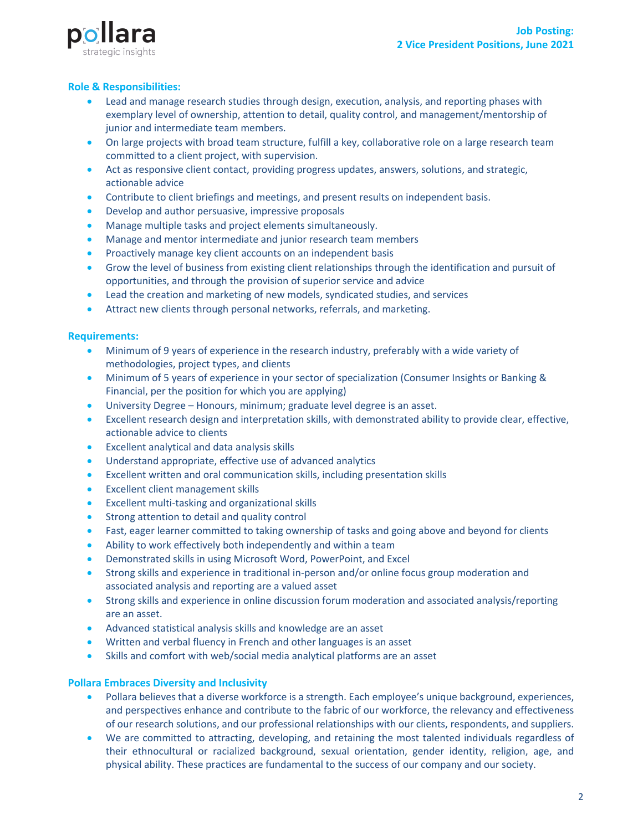



# **Role & Responsibilities:**

- Lead and manage research studies through design, execution, analysis, and reporting phases with exemplary level of ownership, attention to detail, quality control, and management/mentorship of junior and intermediate team members.
- On large projects with broad team structure, fulfill a key, collaborative role on a large research team committed to a client project, with supervision.
- Act as responsive client contact, providing progress updates, answers, solutions, and strategic, actionable advice
- Contribute to client briefings and meetings, and present results on independent basis.
- Develop and author persuasive, impressive proposals
- Manage multiple tasks and project elements simultaneously.
- Manage and mentor intermediate and junior research team members
- Proactively manage key client accounts on an independent basis
- Grow the level of business from existing client relationships through the identification and pursuit of opportunities, and through the provision of superior service and advice
- Lead the creation and marketing of new models, syndicated studies, and services
- Attract new clients through personal networks, referrals, and marketing.

### **Requirements:**

- Minimum of 9 years of experience in the research industry, preferably with a wide variety of methodologies, project types, and clients
- Minimum of 5 years of experience in your sector of specialization (Consumer Insights or Banking & Financial, per the position for which you are applying)
- University Degree Honours, minimum; graduate level degree is an asset.
- Excellent research design and interpretation skills, with demonstrated ability to provide clear, effective, actionable advice to clients
- Excellent analytical and data analysis skills
- Understand appropriate, effective use of advanced analytics
- Excellent written and oral communication skills, including presentation skills
- Excellent client management skills
- Excellent multi-tasking and organizational skills
- Strong attention to detail and quality control
- Fast, eager learner committed to taking ownership of tasks and going above and beyond for clients
- Ability to work effectively both independently and within a team
- Demonstrated skills in using Microsoft Word, PowerPoint, and Excel
- Strong skills and experience in traditional in-person and/or online focus group moderation and associated analysis and reporting are a valued asset
- Strong skills and experience in online discussion forum moderation and associated analysis/reporting are an asset.
- Advanced statistical analysis skills and knowledge are an asset
- Written and verbal fluency in French and other languages is an asset
- Skills and comfort with web/social media analytical platforms are an asset

### **Pollara Embraces Diversity and Inclusivity**

- Pollara believes that a diverse workforce is a strength. Each employee's unique background, experiences, and perspectives enhance and contribute to the fabric of our workforce, the relevancy and effectiveness of our research solutions, and our professional relationships with our clients, respondents, and suppliers.
- We are committed to attracting, developing, and retaining the most talented individuals regardless of their ethnocultural or racialized background, sexual orientation, gender identity, religion, age, and physical ability. These practices are fundamental to the success of our company and our society.